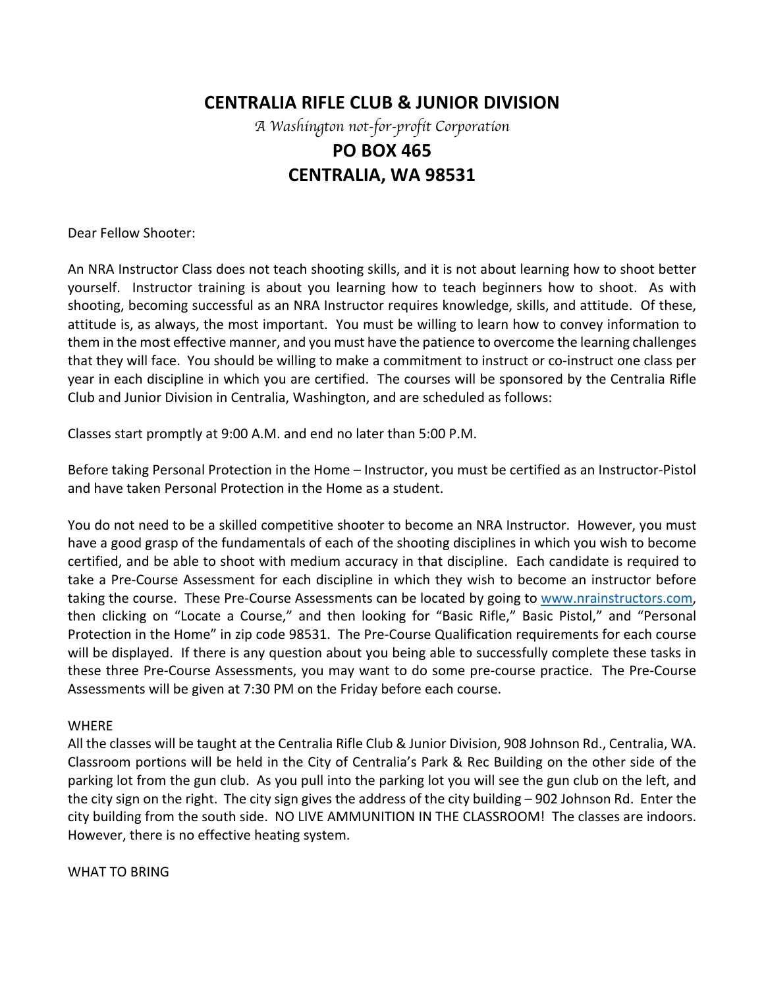## **CENTRALIA RIFLE CLUB & JUNIOR DIVISION**

*A Washington not-for-profit Corporation*

# **PO BOX 465 CENTRALIA, WA 98531**

Dear Fellow Shooter:

An NRA Instructor Class does not teach shooting skills, and it is not about learning how to shoot better yourself. Instructor training is about you learning how to teach beginners how to shoot. As with shooting, becoming successful as an NRA Instructor requires knowledge, skills, and attitude. Of these, attitude is, as always, the most important. You must be willing to learn how to convey information to them in the most effective manner, and you must have the patience to overcome the learning challenges that they will face. You should be willing to make a commitment to instruct or co-instruct one class per year in each discipline in which you are certified. The courses will be sponsored by the Centralia Rifle Club and Junior Division in Centralia, Washington, and are scheduled as follows:

Classes start promptly at 9:00 A.M. and end no later than 5:00 P.M.

Before taking Personal Protection in the Home – Instructor, you must be certified as an Instructor-Pistol and have taken Personal Protection in the Home as a student.

You do not need to be a skilled competitive shooter to become an NRA Instructor. However, you must have a good grasp of the fundamentals of each of the shooting disciplines in which you wish to become certified, and be able to shoot with medium accuracy in that discipline. Each candidate is required to take a Pre-Course Assessment for each discipline in which they wish to become an instructor before taking the course. These Pre-Course Assessments can be located by going to www.nrainstructors.com, then clicking on "Locate a Course," and then looking for "Basic Rifle," Basic Pistol," and "Personal Protection in the Home" in zip code 98531. The Pre-Course Qualification requirements for each course will be displayed. If there is any question about you being able to successfully complete these tasks in these three Pre-Course Assessments, you may want to do some pre-course practice. The Pre-Course Assessments will be given at 7:30 PM on the Friday before each course.

#### WHERE

All the classes will be taught at the Centralia Rifle Club & Junior Division, 908 Johnson Rd., Centralia, WA. Classroom portions will be held in the City of Centralia's Park & Rec Building on the other side of the parking lot from the gun club. As you pull into the parking lot you will see the gun club on the left, and the city sign on the right. The city sign gives the address of the city building  $-$  902 Johnson Rd. Enter the city building from the south side. NO LIVE AMMUNITION IN THE CLASSROOM! The classes are indoors. However, there is no effective heating system.

WHAT TO BRING